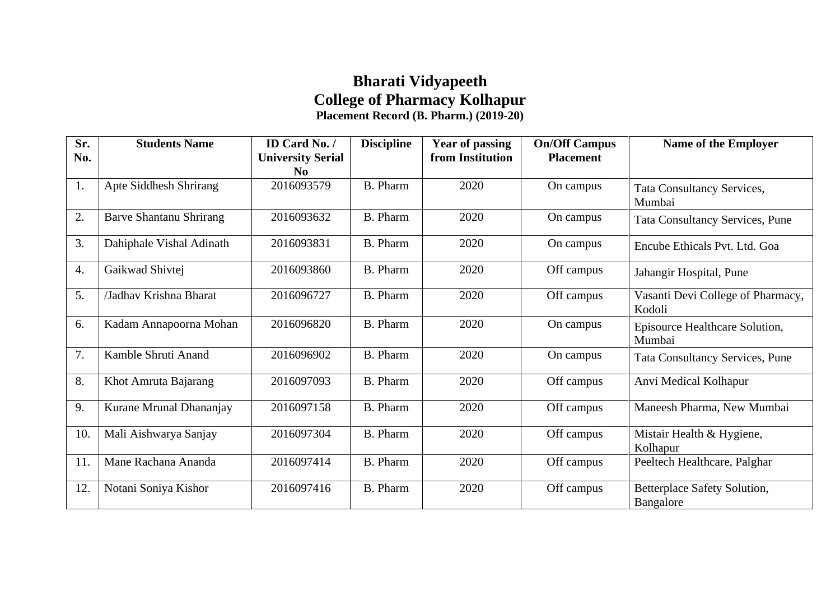## **Bharati Vidyapeeth College of Pharmacy Kolhapur Placement Record (B. Pharm.) (2019-20)**

| Sr. | <b>Students Name</b>           | ID Card No. /            | <b>Discipline</b> | <b>Year of passing</b> | <b>On/Off Campus</b> | <b>Name of the Employer</b>                 |
|-----|--------------------------------|--------------------------|-------------------|------------------------|----------------------|---------------------------------------------|
| No. |                                | <b>University Serial</b> |                   | from Institution       | <b>Placement</b>     |                                             |
|     |                                | $\bf No$                 |                   |                        |                      |                                             |
| 1.  | Apte Siddhesh Shrirang         | 2016093579               | <b>B.</b> Pharm   | 2020                   | On campus            | <b>Tata Consultancy Services,</b><br>Mumbai |
| 2.  | <b>Barve Shantanu Shrirang</b> | 2016093632               | <b>B.</b> Pharm   | 2020                   | On campus            | <b>Tata Consultancy Services, Pune</b>      |
| 3.  | Dahiphale Vishal Adinath       | 2016093831               | <b>B.</b> Pharm   | 2020                   | On campus            | Encube Ethicals Pvt. Ltd. Goa               |
| 4.  | Gaikwad Shivtej                | 2016093860               | <b>B.</b> Pharm   | 2020                   | Off campus           | Jahangir Hospital, Pune                     |
| 5.  | /Jadhav Krishna Bharat         | 2016096727               | <b>B.</b> Pharm   | 2020                   | Off campus           | Vasanti Devi College of Pharmacy,<br>Kodoli |
| 6.  | Kadam Annapoorna Mohan         | 2016096820               | <b>B.</b> Pharm   | 2020                   | On campus            | Episource Healthcare Solution,<br>Mumbai    |
| 7.  | Kamble Shruti Anand            | 2016096902               | <b>B.</b> Pharm   | 2020                   | On campus            | <b>Tata Consultancy Services, Pune</b>      |
| 8.  | Khot Amruta Bajarang           | 2016097093               | <b>B.</b> Pharm   | 2020                   | Off campus           | Anvi Medical Kolhapur                       |
| 9.  | Kurane Mrunal Dhananjay        | 2016097158               | <b>B.</b> Pharm   | 2020                   | Off campus           | Maneesh Pharma, New Mumbai                  |
| 10. | Mali Aishwarya Sanjay          | 2016097304               | <b>B.</b> Pharm   | 2020                   | Off campus           | Mistair Health & Hygiene,<br>Kolhapur       |
| 11. | Mane Rachana Ananda            | 2016097414               | <b>B.</b> Pharm   | 2020                   | Off campus           | Peeltech Healthcare, Palghar                |
| 12. | Notani Soniya Kishor           | 2016097416               | B. Pharm          | 2020                   | Off campus           | Betterplace Safety Solution,<br>Bangalore   |